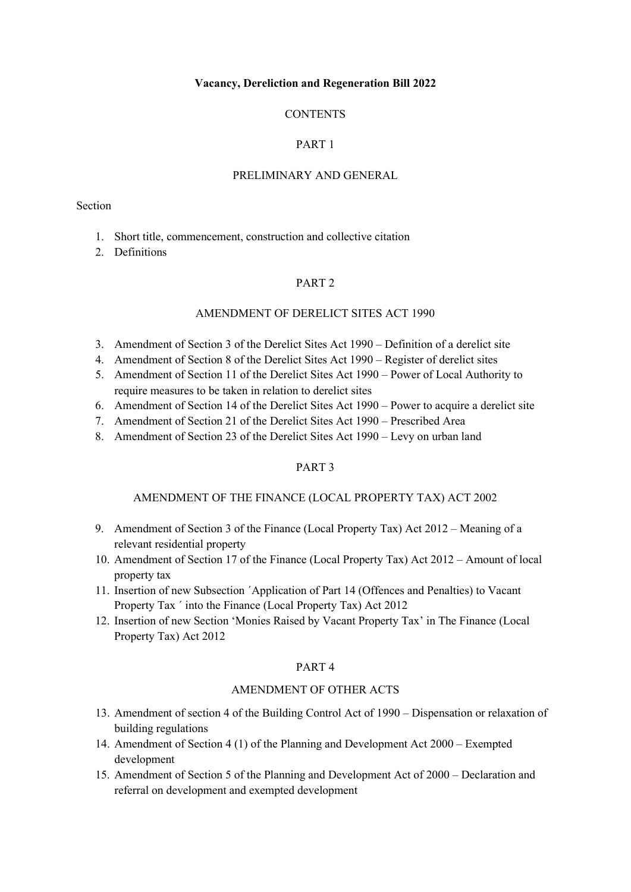#### **Vacancy, Dereliction and Regeneration Bill 2022**

## **CONTENTS**

# PART 1

#### PRELIMINARY AND GENERAL

#### Section

- 1. Short title, commencement, construction and collective citation
- 2. Definitions

### PART 2

## AMENDMENT OF DERELICT SITES ACT 1990

- 3. Amendment of Section 3 of the Derelict Sites Act 1990 Definition of a derelict site
- 4. Amendment of Section 8 of the Derelict Sites Act 1990 Register of derelict sites
- 5. Amendment of Section 11 of the Derelict Sites Act 1990 Power of Local Authority to require measures to be taken in relation to derelict sites
- 6. Amendment of Section 14 of the Derelict Sites Act 1990 Power to acquire a derelict site
- 7. Amendment of Section 21 of the Derelict Sites Act 1990 Prescribed Area
- 8. Amendment of Section 23 of the Derelict Sites Act 1990 Levy on urban land

### PART 3

#### AMENDMENT OF THE FINANCE (LOCAL PROPERTY TAX) ACT 2002

- 9. Amendment of Section 3 of the Finance (Local Property Tax) Act 2012 Meaning of a relevant residential property
- 10. Amendment of Section 17 of the Finance (Local Property Tax) Act 2012 Amount of local property tax
- 11. Insertion of new Subsection ´Application of Part 14 (Offences and Penalties) to Vacant Property Tax ´ into the Finance (Local Property Tax) Act 2012
- 12. Insertion of new Section 'Monies Raised by Vacant Property Tax' in The Finance (Local Property Tax) Act 2012

#### PART 4

### AMENDMENT OF OTHER ACTS

- 13. Amendment of section 4 of the Building Control Act of 1990 Dispensation or relaxation of building regulations
- 14. Amendment of Section 4 (1) of the Planning and Development Act 2000 Exempted development
- 15. Amendment of Section 5 of the Planning and Development Act of 2000 Declaration and referral on development and exempted development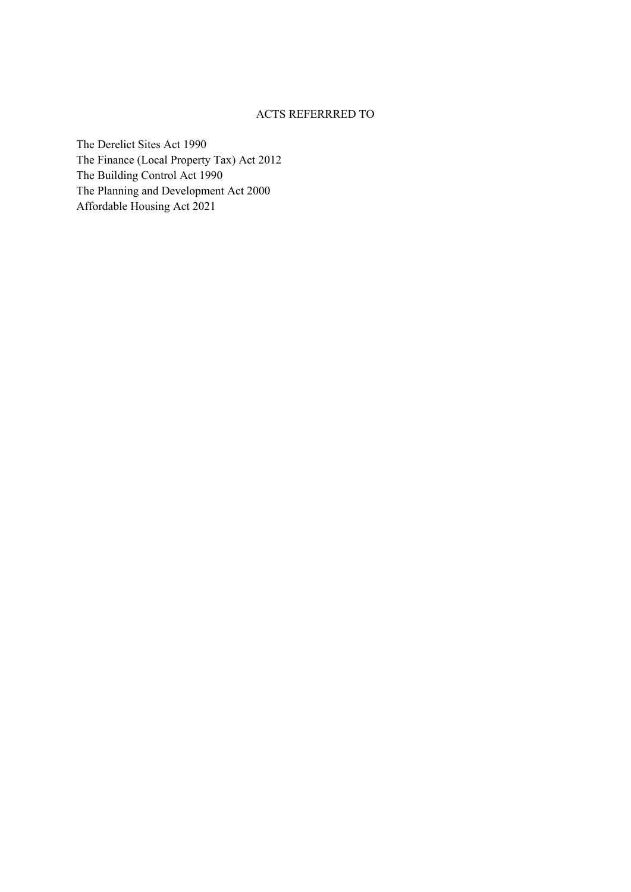### ACTS REFERRRED TO

The Derelict Sites Act 1990 The Finance (Local Property Tax) Act 2012 The Building Control Act 1990 The Planning and Development Act 2000 Affordable Housing Act 2021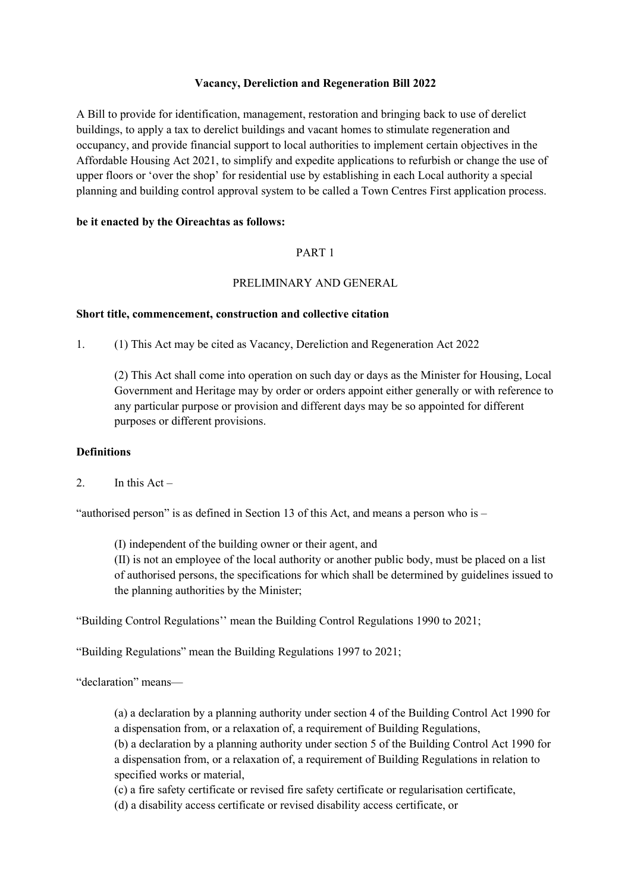## **Vacancy, Dereliction and Regeneration Bill 2022**

A Bill to provide for identification, management, restoration and bringing back to use of derelict buildings, to apply a tax to derelict buildings and vacant homes to stimulate regeneration and occupancy, and provide financial support to local authorities to implement certain objectives in the Affordable Housing Act 2021, to simplify and expedite applications to refurbish or change the use of upper floors or 'over the shop' for residential use by establishing in each Local authority a special planning and building control approval system to be called a Town Centres First application process.

## **be it enacted by the Oireachtas as follows:**

## PART 1

## PRELIMINARY AND GENERAL

### **Short title, commencement, construction and collective citation**

1. (1) This Act may be cited as Vacancy, Dereliction and Regeneration Act 2022

(2) This Act shall come into operation on such day or days as the Minister for Housing, Local Government and Heritage may by order or orders appoint either generally or with reference to any particular purpose or provision and different days may be so appointed for different purposes or different provisions.

## **Definitions**

2. In this  $Act -$ 

"authorised person" is as defined in Section 13 of this Act, and means a person who is  $-$ 

(I) independent of the building owner or their agent, and (II) is not an employee of the local authority or another public body, must be placed on a list of authorised persons, the specifications for which shall be determined by guidelines issued to the planning authorities by the Minister;

"Building Control Regulations'' mean the Building Control Regulations 1990 to 2021;

"Building Regulations" mean the Building Regulations 1997 to 2021;

"declaration" means—

(a) a declaration by a planning authority under section 4 of the Building Control Act 1990 for a dispensation from, or a relaxation of, a requirement of Building Regulations,

(b) a declaration by a planning authority under section 5 of the Building Control Act 1990 for a dispensation from, or a relaxation of, a requirement of Building Regulations in relation to specified works or material,

(c) a fire safety certificate or revised fire safety certificate or regularisation certificate,

(d) a disability access certificate or revised disability access certificate, or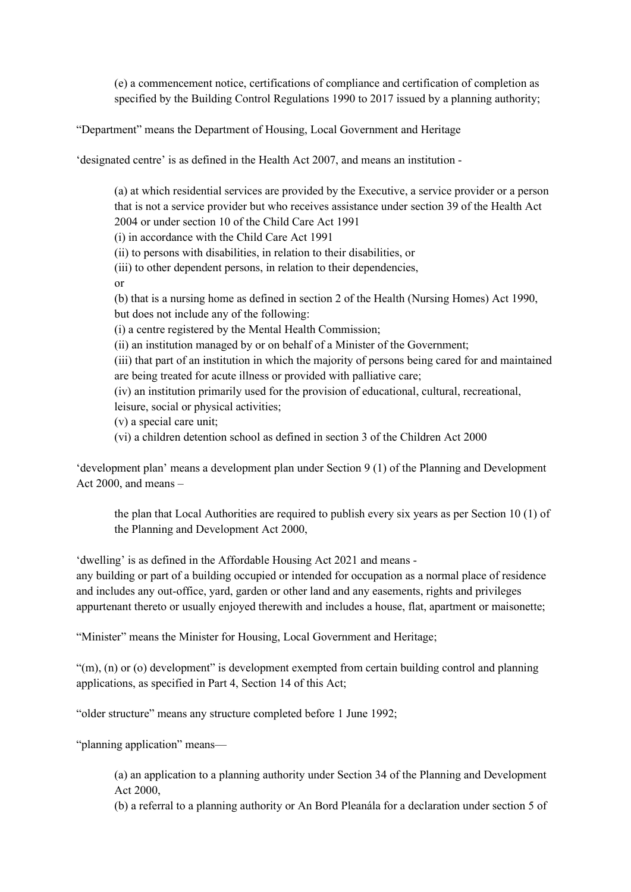(e) a commencement notice, certifications of compliance and certification of completion as specified by the Building Control Regulations 1990 to 2017 issued by a planning authority;

"Department" means the Department of Housing, Local Government and Heritage

'designated centre' is as defined in the Health Act 2007, and means an institution -

(a) at which residential services are provided by the Executive, a service provider or a person that is not a service provider but who receives assistance under section 39 of the Health Act 2004 or under section 10 of the Child Care Act 1991 (i) in accordance with the Child Care Act 1991 (ii) to persons with disabilities, in relation to their disabilities, or (iii) to other dependent persons, in relation to their dependencies, or (b) that is a nursing home as defined in section 2 of the Health (Nursing Homes) Act 1990, but does not include any of the following: (i) a centre registered by the Mental Health Commission; (ii) an institution managed by or on behalf of a Minister of the Government; (iii) that part of an institution in which the majority of persons being cared for and maintained are being treated for acute illness or provided with palliative care; (iv) an institution primarily used for the provision of educational, cultural, recreational, leisure, social or physical activities; (v) a special care unit; (vi) a children detention school as defined in section 3 of the Children Act 2000

'development plan' means a development plan under Section 9 (1) of the Planning and Development Act 2000, and means –

the plan that Local Authorities are required to publish every six years as per Section 10 (1) of the Planning and Development Act 2000,

'dwelling' is as defined in the Affordable Housing Act 2021 and means -

any building or part of a building occupied or intended for occupation as a normal place of residence and includes any out-office, yard, garden or other land and any easements, rights and privileges appurtenant thereto or usually enjoyed therewith and includes a house, flat, apartment or maisonette;

"Minister" means the Minister for Housing, Local Government and Heritage;

"(m), (n) or (o) development" is development exempted from certain building control and planning applications, as specified in Part 4, Section 14 of this Act;

"older structure" means any structure completed before 1 June 1992;

"planning application" means—

(a) an application to a planning authority under Section 34 of the Planning and Development Act 2000,

(b) a referral to a planning authority or An Bord Pleanála for a declaration under section 5 of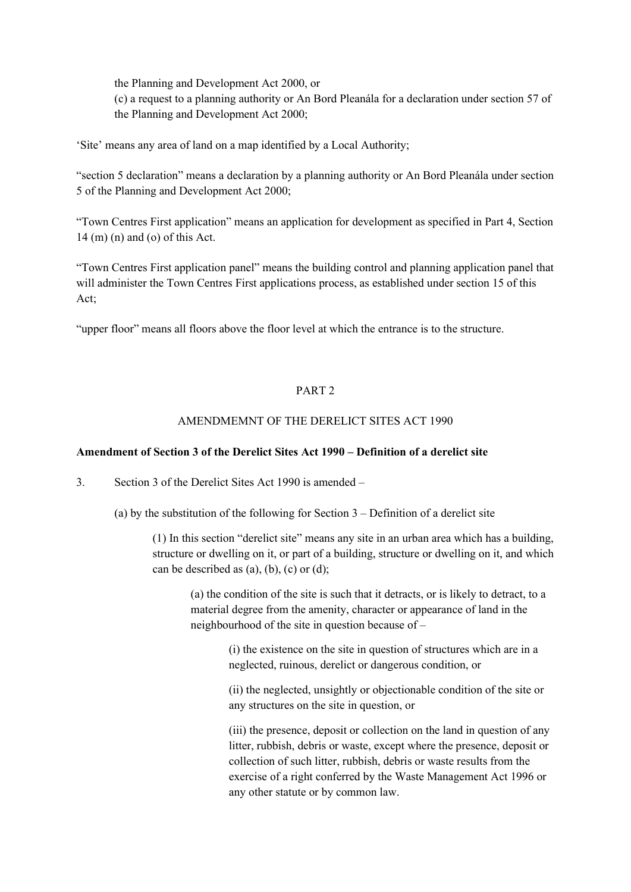the Planning and Development Act 2000, or (c) a request to a planning authority or An Bord Pleanála for a declaration under section 57 of the Planning and Development Act 2000;

'Site' means any area of land on a map identified by a Local Authority;

"section 5 declaration" means a declaration by a planning authority or An Bord Pleanála under section 5 of the Planning and Development Act 2000;

"Town Centres First application" means an application for development as specified in Part 4, Section 14 (m) (n) and (o) of this Act.

"Town Centres First application panel" means the building control and planning application panel that will administer the Town Centres First applications process, as established under section 15 of this Act;

"upper floor" means all floors above the floor level at which the entrance is to the structure.

## PART 2

# AMENDMEMNT OF THE DERELICT SITES ACT 1990

### **Amendment of Section 3 of the Derelict Sites Act 1990 – Definition of a derelict site**

3. Section 3 of the Derelict Sites Act 1990 is amended –

(a) by the substitution of the following for Section  $3 -$ Definition of a derelict site

(1) In this section "derelict site" means any site in an urban area which has a building, structure or dwelling on it, or part of a building, structure or dwelling on it, and which can be described as  $(a)$ ,  $(b)$ ,  $(c)$  or  $(d)$ ;

(a) the condition of the site is such that it detracts, or is likely to detract, to a material degree from the amenity, character or appearance of land in the neighbourhood of the site in question because of –

> (i) the existence on the site in question of structures which are in a neglected, ruinous, derelict or dangerous condition, or

(ii) the neglected, unsightly or objectionable condition of the site or any structures on the site in question, or

(iii) the presence, deposit or collection on the land in question of any litter, rubbish, debris or waste, except where the presence, deposit or collection of such litter, rubbish, debris or waste results from the exercise of a right conferred by the Waste Management Act 1996 or any other statute or by common law.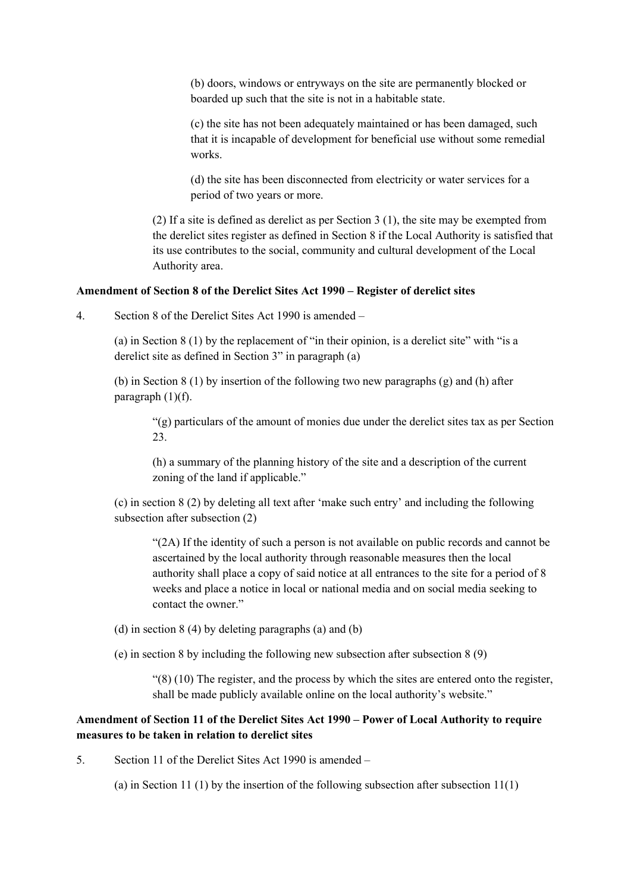(b) doors, windows or entryways on the site are permanently blocked or boarded up such that the site is not in a habitable state.

(c) the site has not been adequately maintained or has been damaged, such that it is incapable of development for beneficial use without some remedial works.

(d) the site has been disconnected from electricity or water services for a period of two years or more.

(2) If a site is defined as derelict as per Section 3 (1), the site may be exempted from the derelict sites register as defined in Section 8 if the Local Authority is satisfied that its use contributes to the social, community and cultural development of the Local Authority area.

#### **Amendment of Section 8 of the Derelict Sites Act 1990 – Register of derelict sites**

4. Section 8 of the Derelict Sites Act 1990 is amended –

(a) in Section 8 (1) by the replacement of "in their opinion, is a derelict site" with "is a derelict site as defined in Section 3" in paragraph (a)

(b) in Section 8 (1) by insertion of the following two new paragraphs (g) and (h) after paragraph  $(1)(f)$ .

"(g) particulars of the amount of monies due under the derelict sites tax as per Section 23.

(h) a summary of the planning history of the site and a description of the current zoning of the land if applicable."

(c) in section 8 (2) by deleting all text after 'make such entry' and including the following subsection after subsection (2)

"(2A) If the identity of such a person is not available on public records and cannot be ascertained by the local authority through reasonable measures then the local authority shall place a copy of said notice at all entrances to the site for a period of 8 weeks and place a notice in local or national media and on social media seeking to contact the owner."

- (d) in section 8 (4) by deleting paragraphs (a) and (b)
- (e) in section 8 by including the following new subsection after subsection 8 (9)

 $(8)(10)$  The register, and the process by which the sites are entered onto the register, shall be made publicly available online on the local authority's website."

# **Amendment of Section 11 of the Derelict Sites Act 1990 – Power of Local Authority to require measures to be taken in relation to derelict sites**

5. Section 11 of the Derelict Sites Act 1990 is amended –

(a) in Section 11 (1) by the insertion of the following subsection after subsection  $11(1)$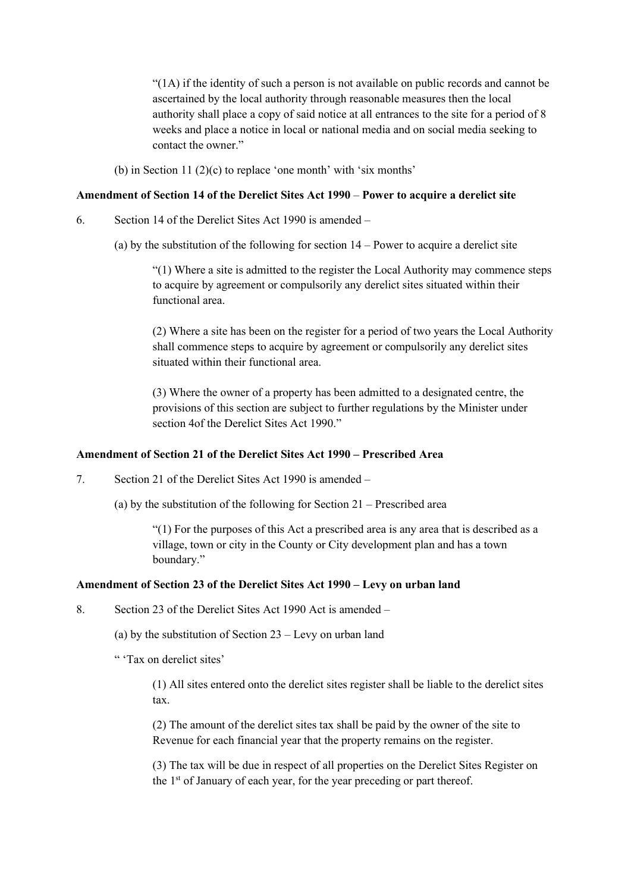"(1A) if the identity of such a person is not available on public records and cannot be ascertained by the local authority through reasonable measures then the local authority shall place a copy of said notice at all entrances to the site for a period of 8 weeks and place a notice in local or national media and on social media seeking to contact the owner."

(b) in Section 11 (2)(c) to replace 'one month' with 'six months'

### **Amendment of Section 14 of the Derelict Sites Act 1990** – **Power to acquire a derelict site**

6. Section 14 of the Derelict Sites Act 1990 is amended –

(a) by the substitution of the following for section 14 – Power to acquire a derelict site

"(1) Where a site is admitted to the register the Local Authority may commence steps to acquire by agreement or compulsorily any derelict sites situated within their functional area.

(2) Where a site has been on the register for a period of two years the Local Authority shall commence steps to acquire by agreement or compulsorily any derelict sites situated within their functional area.

(3) Where the owner of a property has been admitted to a designated centre, the provisions of this section are subject to further regulations by the Minister under section 4of the Derelict Sites Act 1990."

## **Amendment of Section 21 of the Derelict Sites Act 1990 – Prescribed Area**

7. Section 21 of the Derelict Sites Act 1990 is amended –

(a) by the substitution of the following for Section 21 – Prescribed area

"(1) For the purposes of this Act a prescribed area is any area that is described as a village, town or city in the County or City development plan and has a town boundary."

## **Amendment of Section 23 of the Derelict Sites Act 1990 – Levy on urban land**

8. Section 23 of the Derelict Sites Act 1990 Act is amended –

(a) by the substitution of Section 23 – Levy on urban land

" 'Tax on derelict sites'

(1) All sites entered onto the derelict sites register shall be liable to the derelict sites tax.

(2) The amount of the derelict sites tax shall be paid by the owner of the site to Revenue for each financial year that the property remains on the register.

(3) The tax will be due in respect of all properties on the Derelict Sites Register on the 1<sup>st</sup> of January of each year, for the year preceding or part thereof.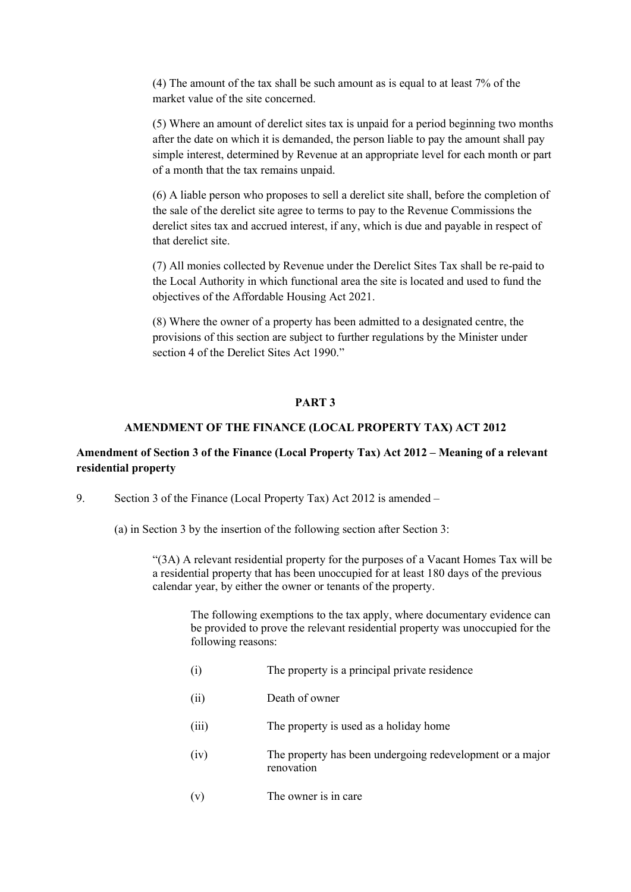(4) The amount of the tax shall be such amount as is equal to at least 7% of the market value of the site concerned.

(5) Where an amount of derelict sites tax is unpaid for a period beginning two months after the date on which it is demanded, the person liable to pay the amount shall pay simple interest, determined by Revenue at an appropriate level for each month or part of a month that the tax remains unpaid.

(6) A liable person who proposes to sell a derelict site shall, before the completion of the sale of the derelict site agree to terms to pay to the Revenue Commissions the derelict sites tax and accrued interest, if any, which is due and payable in respect of that derelict site.

(7) All monies collected by Revenue under the Derelict Sites Tax shall be re-paid to the Local Authority in which functional area the site is located and used to fund the objectives of the Affordable Housing Act 2021.

(8) Where the owner of a property has been admitted to a designated centre, the provisions of this section are subject to further regulations by the Minister under section 4 of the Derelict Sites Act 1990."

### **PART 3**

#### **AMENDMENT OF THE FINANCE (LOCAL PROPERTY TAX) ACT 2012**

# **Amendment of Section 3 of the Finance (Local Property Tax) Act 2012 – Meaning of a relevant residential property**

- 9. Section 3 of the Finance (Local Property Tax) Act 2012 is amended
	- (a) in Section 3 by the insertion of the following section after Section 3:

"(3A) A relevant residential property for the purposes of a Vacant Homes Tax will be a residential property that has been unoccupied for at least 180 days of the previous calendar year, by either the owner or tenants of the property.

The following exemptions to the tax apply, where documentary evidence can be provided to prove the relevant residential property was unoccupied for the following reasons:

- (i) The property is a principal private residence
- (ii) Death of owner
- (iii) The property is used as a holiday home
- (iv) The property has been undergoing redevelopment or a major renovation
- (v) The owner is in care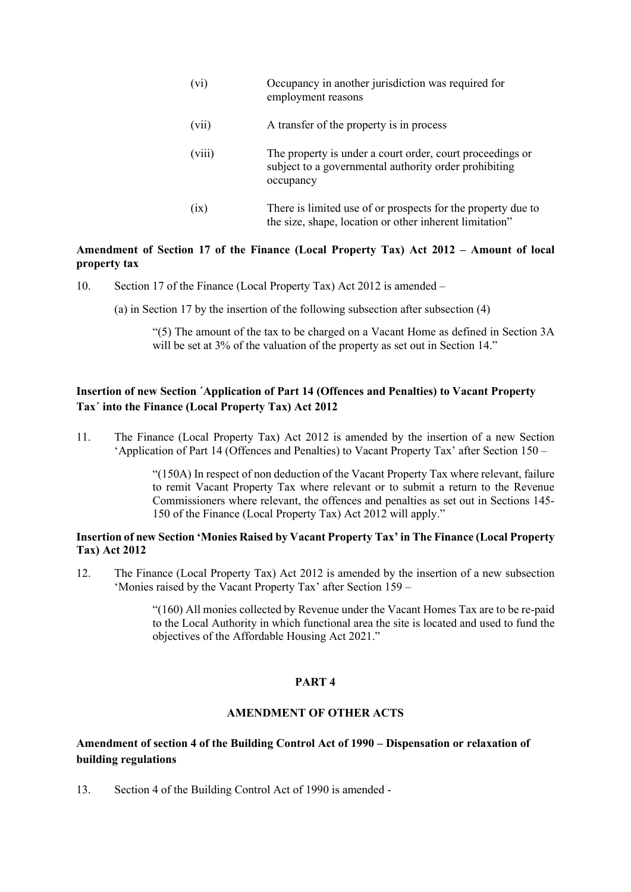- (vi) Occupancy in another jurisdiction was required for employment reasons
- (vii) A transfer of the property is in process
- (viii) The property is under a court order, court proceedings or subject to a governmental authority order prohibiting occupancy
- (ix) There is limited use of or prospects for the property due to the size, shape, location or other inherent limitation"

## **Amendment of Section 17 of the Finance (Local Property Tax) Act 2012 – Amount of local property tax**

- 10. Section 17 of the Finance (Local Property Tax) Act 2012 is amended
	- (a) in Section 17 by the insertion of the following subsection after subsection (4)

"(5) The amount of the tax to be charged on a Vacant Home as defined in Section 3A will be set at 3% of the valuation of the property as set out in Section 14."

# **Insertion of new Section ´Application of Part 14 (Offences and Penalties) to Vacant Property Tax´ into the Finance (Local Property Tax) Act 2012**

11. The Finance (Local Property Tax) Act 2012 is amended by the insertion of a new Section 'Application of Part 14 (Offences and Penalties) to Vacant Property Tax' after Section 150 –

> "(150A) In respect of non deduction of the Vacant Property Tax where relevant, failure to remit Vacant Property Tax where relevant or to submit a return to the Revenue Commissioners where relevant, the offences and penalties as set out in Sections 145- 150 of the Finance (Local Property Tax) Act 2012 will apply."

### **Insertion of new Section 'Monies Raised by Vacant Property Tax' in The Finance (Local Property Tax) Act 2012**

12. The Finance (Local Property Tax) Act 2012 is amended by the insertion of a new subsection 'Monies raised by the Vacant Property Tax' after Section 159 –

> "(160) All monies collected by Revenue under the Vacant Homes Tax are to be re-paid to the Local Authority in which functional area the site is located and used to fund the objectives of the Affordable Housing Act 2021."

## **PART 4**

# **AMENDMENT OF OTHER ACTS**

## **Amendment of section 4 of the Building Control Act of 1990 – Dispensation or relaxation of building regulations**

13. Section 4 of the Building Control Act of 1990 is amended -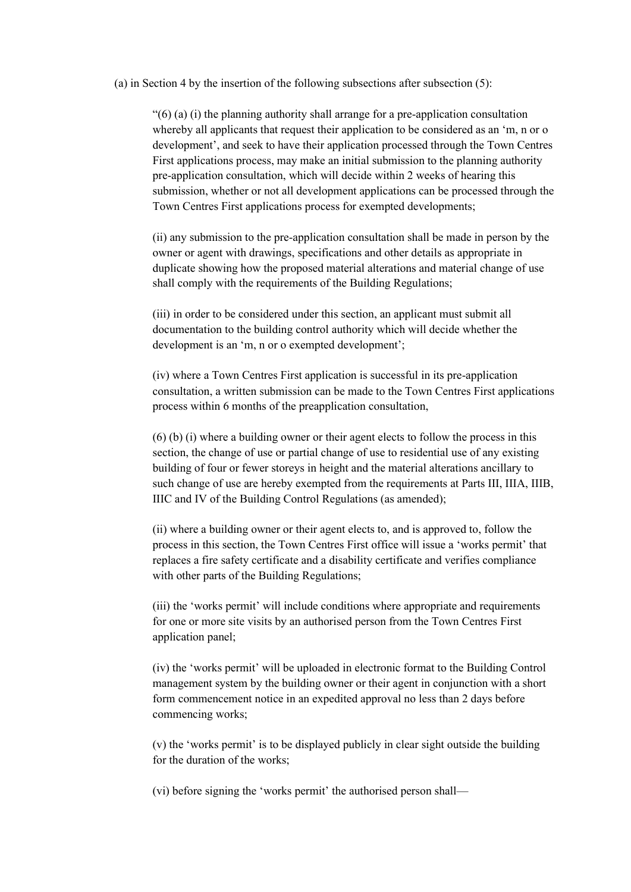#### (a) in Section 4 by the insertion of the following subsections after subsection (5):

"(6) (a) (i) the planning authority shall arrange for a pre-application consultation whereby all applicants that request their application to be considered as an 'm, n or o development', and seek to have their application processed through the Town Centres First applications process, may make an initial submission to the planning authority pre-application consultation, which will decide within 2 weeks of hearing this submission, whether or not all development applications can be processed through the Town Centres First applications process for exempted developments;

(ii) any submission to the pre-application consultation shall be made in person by the owner or agent with drawings, specifications and other details as appropriate in duplicate showing how the proposed material alterations and material change of use shall comply with the requirements of the Building Regulations;

(iii) in order to be considered under this section, an applicant must submit all documentation to the building control authority which will decide whether the development is an 'm, n or o exempted development';

(iv) where a Town Centres First application is successful in its pre-application consultation, a written submission can be made to the Town Centres First applications process within 6 months of the preapplication consultation,

(6) (b) (i) where a building owner or their agent elects to follow the process in this section, the change of use or partial change of use to residential use of any existing building of four or fewer storeys in height and the material alterations ancillary to such change of use are hereby exempted from the requirements at Parts III, IIIA, IIIB, IIIC and IV of the Building Control Regulations (as amended);

(ii) where a building owner or their agent elects to, and is approved to, follow the process in this section, the Town Centres First office will issue a 'works permit' that replaces a fire safety certificate and a disability certificate and verifies compliance with other parts of the Building Regulations;

(iii) the 'works permit' will include conditions where appropriate and requirements for one or more site visits by an authorised person from the Town Centres First application panel;

(iv) the 'works permit' will be uploaded in electronic format to the Building Control management system by the building owner or their agent in conjunction with a short form commencement notice in an expedited approval no less than 2 days before commencing works;

(v) the 'works permit' is to be displayed publicly in clear sight outside the building for the duration of the works;

(vi) before signing the 'works permit' the authorised person shall—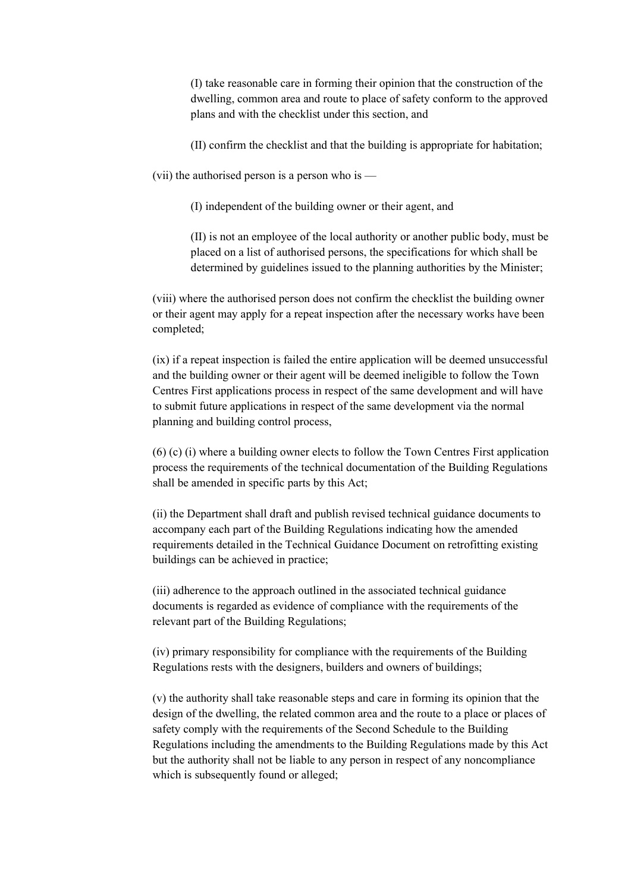(I) take reasonable care in forming their opinion that the construction of the dwelling, common area and route to place of safety conform to the approved plans and with the checklist under this section, and

(II) confirm the checklist and that the building is appropriate for habitation;

(vii) the authorised person is a person who is  $-$ 

(I) independent of the building owner or their agent, and

(II) is not an employee of the local authority or another public body, must be placed on a list of authorised persons, the specifications for which shall be determined by guidelines issued to the planning authorities by the Minister;

(viii) where the authorised person does not confirm the checklist the building owner or their agent may apply for a repeat inspection after the necessary works have been completed;

(ix) if a repeat inspection is failed the entire application will be deemed unsuccessful and the building owner or their agent will be deemed ineligible to follow the Town Centres First applications process in respect of the same development and will have to submit future applications in respect of the same development via the normal planning and building control process,

(6) (c) (i) where a building owner elects to follow the Town Centres First application process the requirements of the technical documentation of the Building Regulations shall be amended in specific parts by this Act;

(ii) the Department shall draft and publish revised technical guidance documents to accompany each part of the Building Regulations indicating how the amended requirements detailed in the Technical Guidance Document on retrofitting existing buildings can be achieved in practice;

(iii) adherence to the approach outlined in the associated technical guidance documents is regarded as evidence of compliance with the requirements of the relevant part of the Building Regulations;

(iv) primary responsibility for compliance with the requirements of the Building Regulations rests with the designers, builders and owners of buildings;

(v) the authority shall take reasonable steps and care in forming its opinion that the design of the dwelling, the related common area and the route to a place or places of safety comply with the requirements of the Second Schedule to the Building Regulations including the amendments to the Building Regulations made by this Act but the authority shall not be liable to any person in respect of any noncompliance which is subsequently found or alleged;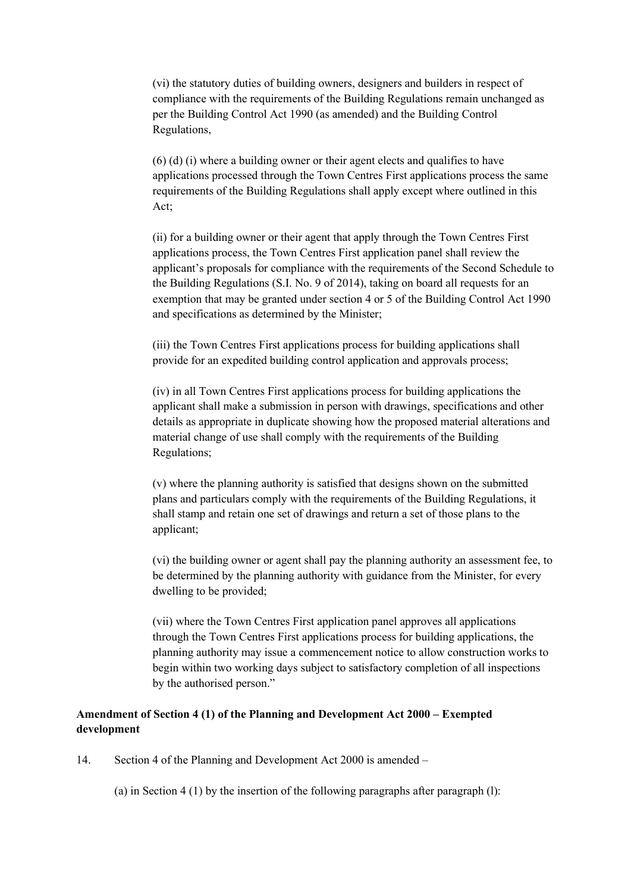(vi) the statutory duties of building owners, designers and builders in respect of compliance with the requirements of the Building Regulations remain unchanged as per the Building Control Act 1990 (as amended) and the Building Control Regulations,

 $(6)$  (d) (i) where a building owner or their agent elects and qualifies to have applications processed through the Town Centres First applications process the same requirements of the Building Regulations shall apply except where outlined in this Act;

(ii) for a building owner or their agent that apply through the Town Centres First applications process, the Town Centres First application panel shall review the applicant's proposals for compliance with the requirements of the Second Schedule to the Building Regulations (S.I. No. 9 of 2014), taking on board all requests for an exemption that may be granted under section 4 or 5 of the Building Control Act 1990 and specifications as determined by the Minister;

(iii) the Town Centres First applications process for building applications shall provide for an expedited building control application and approvals process;

(iv) in all Town Centres First applications process for building applications the applicant shall make a submission in person with drawings, specifications and other details as appropriate in duplicate showing how the proposed material alterations and material change of use shall comply with the requirements of the Building Regulations;

(v) where the planning authority is satisfied that designs shown on the submitted plans and particulars comply with the requirements of the Building Regulations, it shall stamp and retain one set of drawings and return a set of those plans to the applicant;

(vi) the building owner or agent shall pay the planning authority an assessment fee, to be determined by the planning authority with guidance from the Minister, for every dwelling to be provided;

(vii) where the Town Centres First application panel approves all applications through the Town Centres First applications process for building applications, the planning authority may issue a commencement notice to allow construction works to begin within two working days subject to satisfactory completion of all inspections by the authorised person."

# **Amendment of Section 4 (1) of the Planning and Development Act 2000 – Exempted development**

14. Section 4 of the Planning and Development Act 2000 is amended –

(a) in Section 4 (1) by the insertion of the following paragraphs after paragraph  $(l)$ :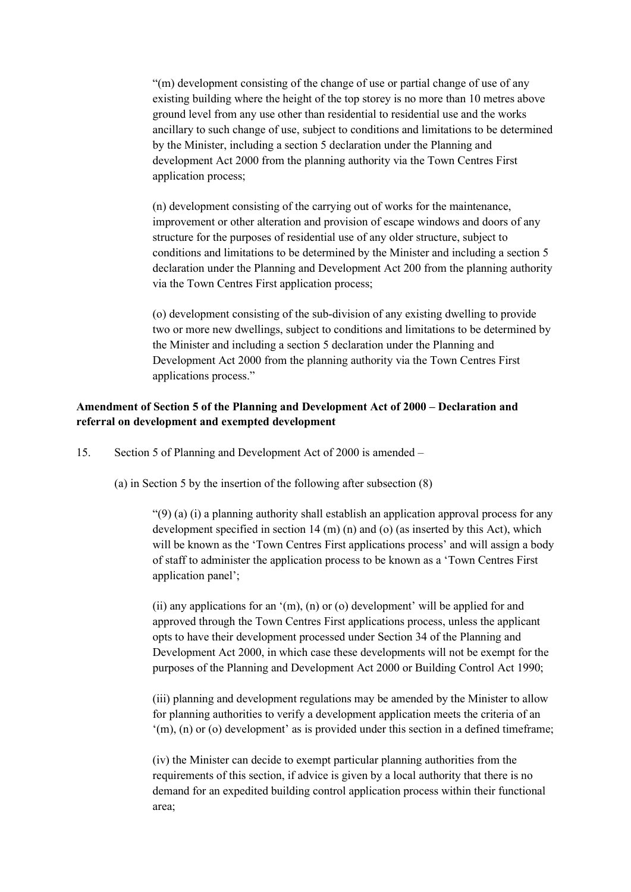"(m) development consisting of the change of use or partial change of use of any existing building where the height of the top storey is no more than 10 metres above ground level from any use other than residential to residential use and the works ancillary to such change of use, subject to conditions and limitations to be determined by the Minister, including a section 5 declaration under the Planning and development Act 2000 from the planning authority via the Town Centres First application process;

(n) development consisting of the carrying out of works for the maintenance, improvement or other alteration and provision of escape windows and doors of any structure for the purposes of residential use of any older structure, subject to conditions and limitations to be determined by the Minister and including a section 5 declaration under the Planning and Development Act 200 from the planning authority via the Town Centres First application process;

(o) development consisting of the sub-division of any existing dwelling to provide two or more new dwellings, subject to conditions and limitations to be determined by the Minister and including a section 5 declaration under the Planning and Development Act 2000 from the planning authority via the Town Centres First applications process."

## **Amendment of Section 5 of the Planning and Development Act of 2000 – Declaration and referral on development and exempted development**

15. Section 5 of Planning and Development Act of 2000 is amended –

(a) in Section 5 by the insertion of the following after subsection (8)

" $(9)$  (a) (i) a planning authority shall establish an application approval process for any development specified in section  $14 \text{ (m)}$  (n) and (o) (as inserted by this Act), which will be known as the 'Town Centres First applications process' and will assign a body of staff to administer the application process to be known as a 'Town Centres First application panel';

(ii) any applications for an '(m), (n) or (o) development' will be applied for and approved through the Town Centres First applications process, unless the applicant opts to have their development processed under Section 34 of the Planning and Development Act 2000, in which case these developments will not be exempt for the purposes of the Planning and Development Act 2000 or Building Control Act 1990;

(iii) planning and development regulations may be amended by the Minister to allow for planning authorities to verify a development application meets the criteria of an '(m), (n) or (o) development' as is provided under this section in a defined timeframe;

(iv) the Minister can decide to exempt particular planning authorities from the requirements of this section, if advice is given by a local authority that there is no demand for an expedited building control application process within their functional area;